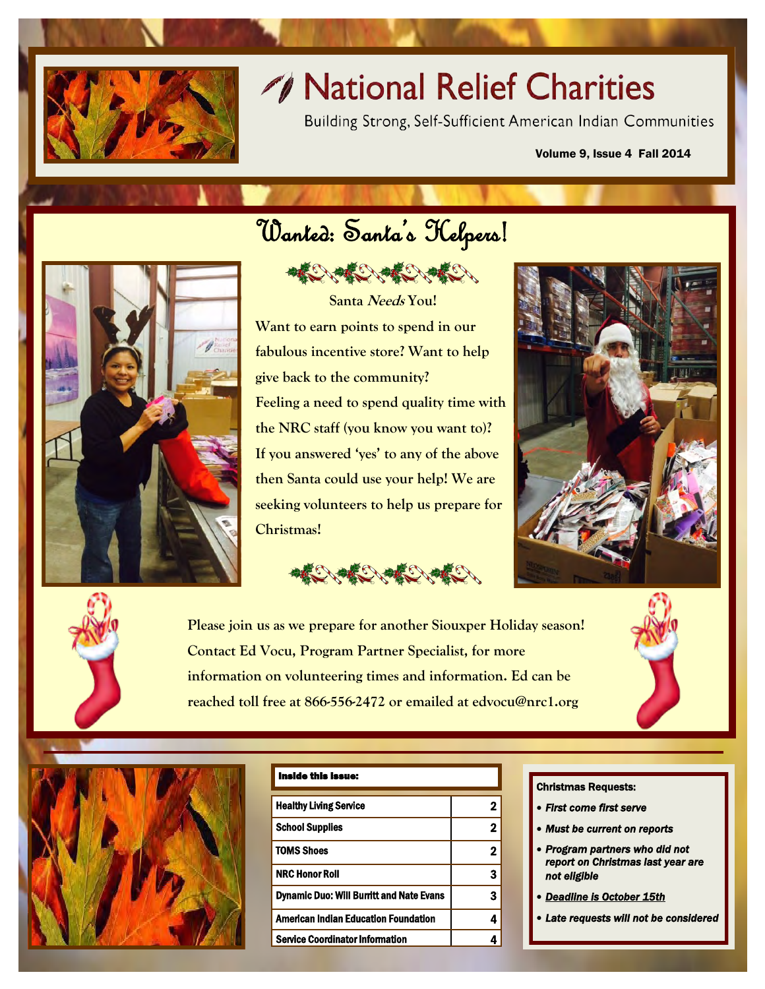

# // National Relief Charities

Building Strong, Self-Sufficient American Indian Communities

#### Volume 9, Issue 4 Fall 2014



# Wanted: Santa's Helpers!

ARE ARE CONTENT

**Santa Needs You! Want to earn points to spend in our fabulous incentive store? Want to help give back to the community? Feeling a need to spend quality time with the NRC staff (you know you want to)? If you answered 'yes' to any of the above then Santa could use your help! We are seeking volunteers to help us prepare for Christmas!** 





**Please join us as we prepare for another Siouxper Holiday season! Contact Ed Vocu, Program Partner Specialist, for more information on volunteering times and information. Ed can be reached toll free at 866-556-2472 or emailed at edvocu@nrc1.org** 



#### Inside this issue:

#### Christmas Requests:

- *First come first serve*
- *Must be current on reports*
- *Program partners who did not report on Christmas last year are not eligible*
- *Deadline is October 15th*
- *Late requests will not be considered*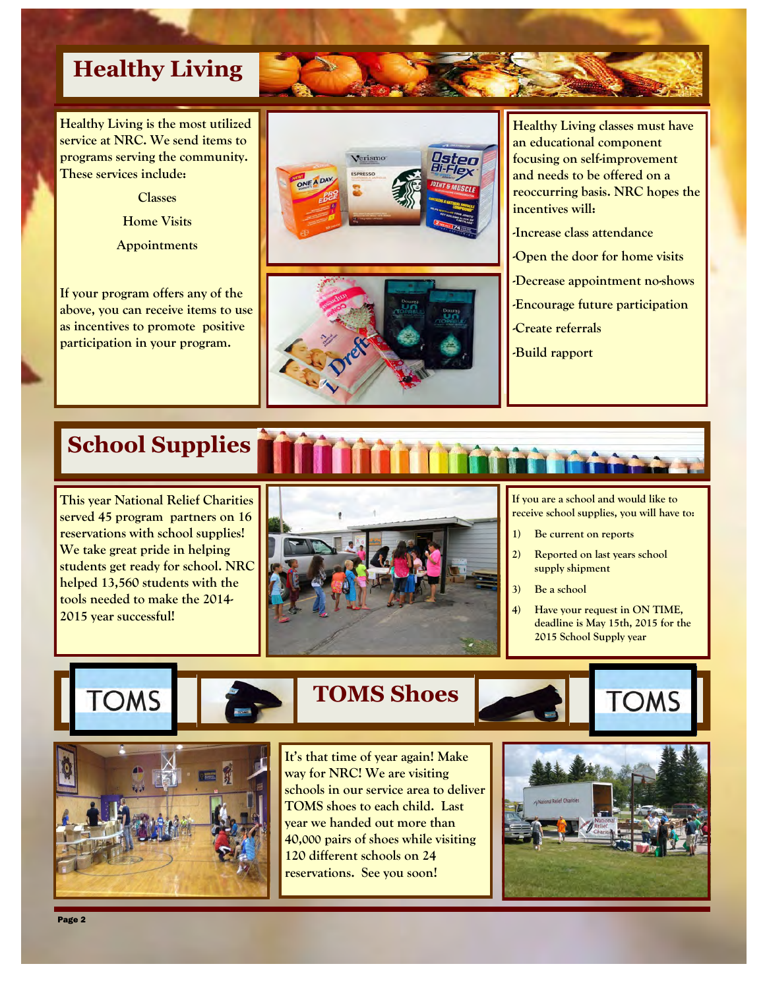## **Healthy Living**

**Healthy Living is the most utilized service at NRC. We send items to programs serving the community. These services include:** 

**Classes** 

**Home Visits** 

**Appointments** 

**If your program offers any of the above, you can receive items to use as incentives to promote positive participation in your program.** 





**Healthy Living classes must have an educational component focusing on self-improvement and needs to be offered on a reoccurring basis. NRC hopes the incentives will:** 

- **-Increase class attendance**
- **-Open the door for home visits**
- **-Decrease appointment no-shows**
- **-Encourage future participation**
- **-Create referrals**
- **-Build rapport**

## **School Supplies**

**This year National Relief Charities served 45 program partners on 16 reservations with school supplies! We take great pride in helping students get ready for school. NRC helped 13,560 students with the tools needed to make the 2014- 2015 year successful!** 



**If you are a school and would like to receive school supplies, you will have to:** 

- **1) Be current on reports**
- **2) Reported on last years school supply shipment**
- **3) Be a school**
- **4) Have your request in ON TIME, deadline is May 15th, 2015 for the 2015 School Supply year**

**TOMS** 





 **TOMS Shoes** 

**It's that time of year again! Make way for NRC! We are visiting schools in our service area to deliver TOMS shoes to each child. Last year we handed out more than 40,000 pairs of shoes while visiting 120 different schools on 24 reservations. See you soon!** 

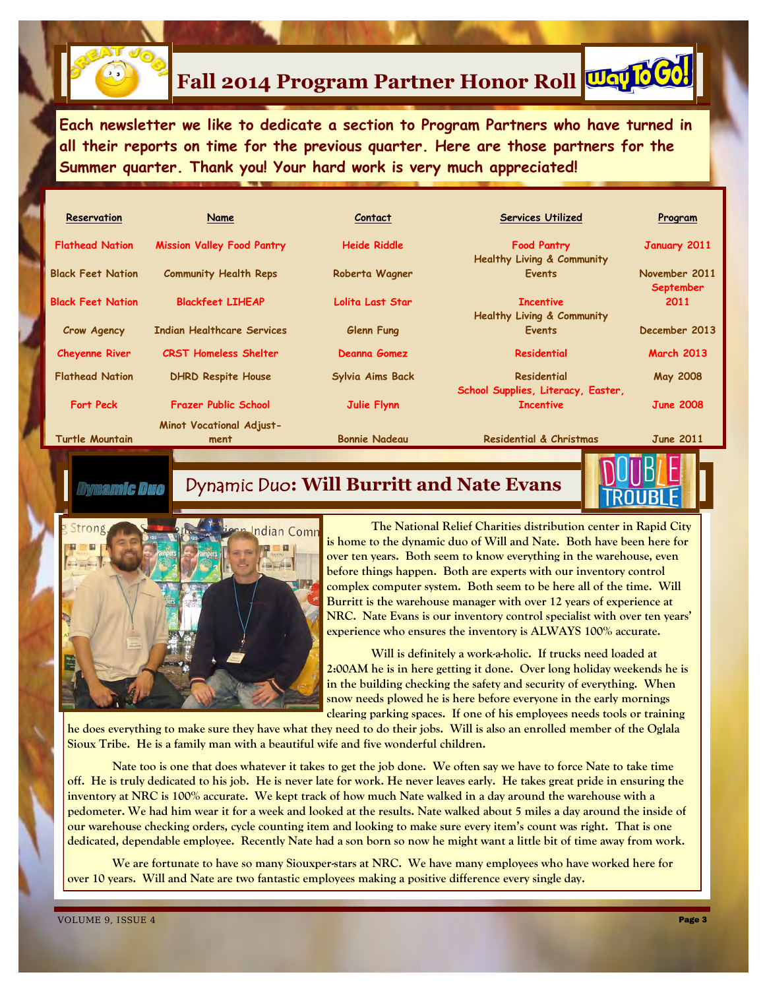

# **Fall 2014 Program Partner Honor Roll**

**Each newsletter we like to dedicate a section to Program Partners who have turned in all their reports on time for the previous quarter. Here are those partners for the Summer quarter. Thank you! Your hard work is very much appreciated!** 

| Reservation              | Name                              | Contact              | <b>Services Utilized</b>              | Program                    |
|--------------------------|-----------------------------------|----------------------|---------------------------------------|----------------------------|
| <b>Flathead Nation</b>   | <b>Mission Valley Food Pantry</b> | <b>Heide Riddle</b>  | <b>Food Pantry</b>                    | January 2011               |
|                          |                                   |                      | <b>Healthy Living &amp; Community</b> |                            |
| <b>Black Feet Nation</b> | <b>Community Health Reps</b>      | Roberta Wagner       | <b>Events</b>                         | November 2011<br>September |
| <b>Black Feet Nation</b> | <b>Blackfeet LIHEAP</b>           | Lolita Last Star     | <b>Incentive</b>                      | 2011                       |
|                          |                                   |                      | <b>Healthy Living &amp; Community</b> |                            |
| Crow Agency              | <b>Indian Healthcare Services</b> | Glenn Fung           | <b>Events</b>                         | December 2013              |
| <b>Cheyenne River</b>    | <b>CRST Homeless Shelter</b>      | Deanna Gomez         | Residential                           | <b>March 2013</b>          |
| <b>Flathead Nation</b>   | <b>DHRD Respite House</b>         | Sylvia Aims Back     | <b>Residential</b>                    | <b>May 2008</b>            |
|                          |                                   |                      | School Supplies, Literacy, Easter,    |                            |
| <b>Fort Peck</b>         | <b>Frazer Public School</b>       | Julie Flynn          | <b>Incentive</b>                      | <b>June 2008</b>           |
|                          | <b>Minot Vocational Adjust-</b>   |                      |                                       |                            |
| <b>Turtle Mountain</b>   | ment                              | <b>Bonnie Nadeau</b> | Residential & Christmas               | <b>June 2011</b>           |

### amir Duo

### Dynamic Duo**: Will Burritt and Nate Evans**



 **The National Relief Charities distribution center in Rapid City is home to the dynamic duo of Will and Nate. Both have been here for over ten years. Both seem to know everything in the warehouse, even before things happen. Both are experts with our inventory control complex computer system. Both seem to be here all of the time. Will Burritt is the warehouse manager with over 12 years of experience at NRC. Nate Evans is our inventory control specialist with over ten years' experience who ensures the inventory is ALWAYS 100% accurate.** 

 **Will is definitely a work-a-holic. If trucks need loaded at 2:00AM he is in here getting it done. Over long holiday weekends he is in the building checking the safety and security of everything. When snow needs plowed he is here before everyone in the early mornings clearing parking spaces. If one of his employees needs tools or training** 

**he does everything to make sure they have what they need to do their jobs. Will is also an enrolled member of the Oglala Sioux Tribe. He is a family man with a beautiful wife and five wonderful children.** 

 **Nate too is one that does whatever it takes to get the job done. We often say we have to force Nate to take time off. He is truly dedicated to his job. He is never late for work. He never leaves early. He takes great pride in ensuring the inventory at NRC is 100% accurate. We kept track of how much Nate walked in a day around the warehouse with a pedometer. We had him wear it for a week and looked at the results. Nate walked about 5 miles a day around the inside of our warehouse checking orders, cycle counting item and looking to make sure every item's count was right. That is one dedicated, dependable employee. Recently Nate had a son born so now he might want a little bit of time away from work.** 

 **We are fortunate to have so many Siouxper-stars at NRC. We have many employees who have worked here for over 10 years. Will and Nate are two fantastic employees making a positive difference every single day.**